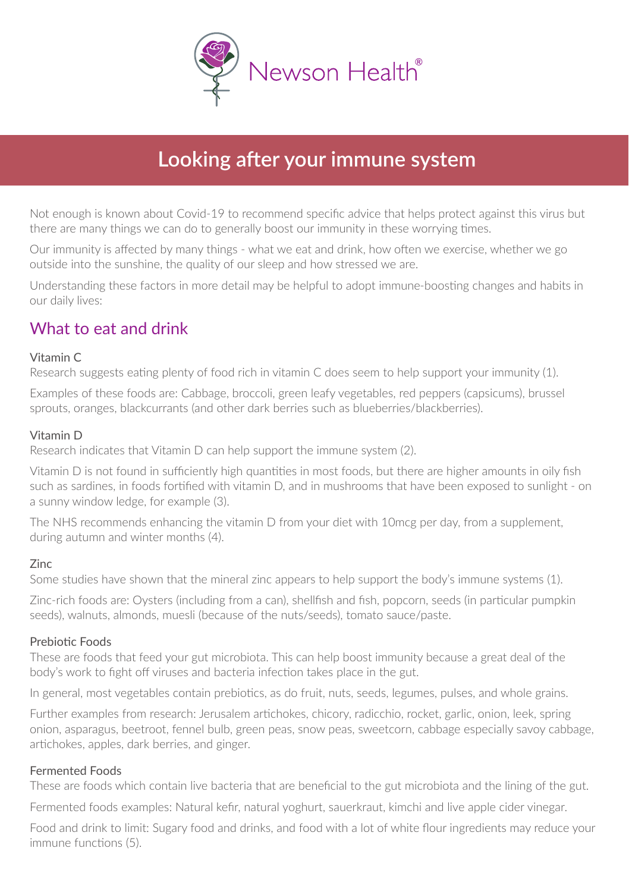

# $\blacksquare$  Starting of the your immune system

Not enough is known about Covid-19 to recommend specific advice that helps protect against this virus but there are many things we can do to generally boost our immunity in these worrying times.

Our immunity is affected by many things what we eat and drink, how often we exercise, whether we go outside into the sunshine, the quality of our sleep and how stressed we are.

Understanding these factors in more detail may be helpful to adopt immune-boosting changes and habits in our daily lives:

### What to eat and drink

#### Vitamin C

Research suggests eating plenty of food rich in vitamin C does seem to help support your immunity (1).

Examples of these foods are: Cabbage, broccoli, green leafy vegetables, red peppers (capsicums), brussel sprouts, oranges, blackcurrants (and other dark berries such as blueberries/blackberries).

#### Vitamin D

Research indicates that Vitamin D can help support the immune system (2).

Vitamin D is not found in sufficiently high quantities in most foods, but there are higher amounts in oily fish such as sardines, in foods fortified with vitamin D, and in mushrooms that have been exposed to sunlight - on a sunny window ledge, for example (3).

The NHS recommends enhancing the vitamin D from your diet with 10mcg per day, from a supplement, during autumn and winter months (4).

#### Zinc

Some studies have shown that the mineral zinc appears to help support the body's immune systems (1).

Zinc-rich foods are: Oysters (including from a can), shellfish and fish, popcorn, seeds (in particular pumpkin seeds), walnuts, almonds, muesli (because of the nuts/seeds), tomato sauce/paste.

#### Prebiotic Foods

These are foods that feed your gut microbiota. This can help boost immunity because a great deal of the body's work to fight off viruses and bacteria infection takes place in the gut.

In general, most vegetables contain prebiotics, as do fruit, nuts, seeds, legumes, pulses, and whole grains.

Further examples from research: Jerusalem artichokes, chicory, radicchio, rocket, garlic, onion, leek, spring onion, asparagus, beetroot, fennel bulb, green peas, snow peas, sweetcorn, cabbage especially savoy cabbage, artichokes, apples, dark berries, and ginger.

#### Fermented Foods

These are foods which contain live bacteria that are beneficial to the gut microbiota and the lining of the gut.

Fermented foods examples: Natural kefir, natural yoghurt, sauerkraut, kimchi and live apple cider vinegar.

Food and drink to limit: Sugary food and drinks, and food with a lot of white flour ingredients may reduce your immune functions (5).